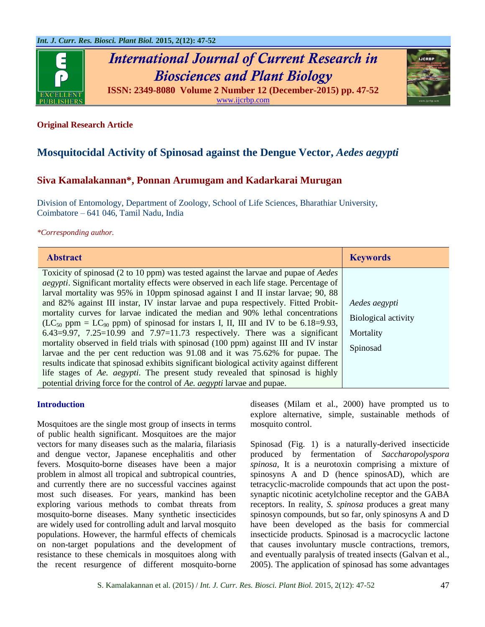

# *International Journal of Current Research in Biosciences and Plant Biology*



**ISSN: 2349-8080 Volume 2 Number 12 (December-2015) pp. 47-52** [www.ijcrbp.com](http://www.ijcrbp.com/)

# **Original Research Article**

# **Mosquitocidal Activity of Spinosad against the Dengue Vector,** *Aedes aegypti*

# **Siva Kamalakannan\*, Ponnan Arumugam and Kadarkarai Murugan**

Division of Entomology, Department of Zoology, School of Life Sciences, Bharathiar University, Coimbatore – 641 046, Tamil Nadu, India

#### *\*Corresponding author.*

| <b>Abstract</b>                                                                                                                                                                                                                                                                                                                                                                                                                                                                                                                                                                                                                                                                                                                                                                                                                                                                                                                                                                                                                                                                               | <b>Keywords</b>                                                      |
|-----------------------------------------------------------------------------------------------------------------------------------------------------------------------------------------------------------------------------------------------------------------------------------------------------------------------------------------------------------------------------------------------------------------------------------------------------------------------------------------------------------------------------------------------------------------------------------------------------------------------------------------------------------------------------------------------------------------------------------------------------------------------------------------------------------------------------------------------------------------------------------------------------------------------------------------------------------------------------------------------------------------------------------------------------------------------------------------------|----------------------------------------------------------------------|
| Toxicity of spinosad (2 to 10 ppm) was tested against the larvae and pupae of <i>Aedes</i><br><i>aegypti</i> . Significant mortality effects were observed in each life stage. Percentage of<br>larval mortality was 95% in 10ppm spinosad against I and II instar larvae; 90, 88<br>and 82% against III instar, IV instar larvae and pupa respectively. Fitted Probit-<br>mortality curves for larvae indicated the median and 90% lethal concentrations<br>(LC <sub>50</sub> ppm = LC <sub>90</sub> ppm) of spinosad for instars I, II, III and IV to be 6.18=9.93,<br>$6.43=9.97$ , $7.25=10.99$ and $7.97=11.73$ respectively. There was a significant<br>mortality observed in field trials with spinosad (100 ppm) against III and IV instar<br>larvae and the per cent reduction was 91.08 and it was 75.62% for pupae. The<br>results indicate that spinosad exhibits significant biological activity against different<br>life stages of Ae. aegypti. The present study revealed that spinosad is highly<br>potential driving force for the control of Ae. aegypti larvae and pupae. | Aedes aegypti<br><b>Biological activity</b><br>Mortality<br>Spinosad |

### **Introduction**

Mosquitoes are the single most group of insects in terms of public health significant. Mosquitoes are the major vectors for many diseases such as the malaria, filariasis and dengue vector, Japanese encephalitis and other fevers. Mosquito-borne diseases have been a major problem in almost all tropical and subtropical countries, and currently there are no successful vaccines against most such diseases. For years, mankind has been exploring various methods to combat threats from mosquito-borne diseases. Many synthetic insecticides are widely used for controlling adult and larval mosquito populations. However, the harmful effects of chemicals on non-target populations and the development of resistance to these chemicals in mosquitoes along with the recent resurgence of different mosquito-borne diseases (Milam et al., 2000) have prompted us to explore alternative, simple, sustainable methods of mosquito control.

Spinosad (Fig. 1) is a naturally-derived insecticide produced by fermentation of *Saccharopolyspora spinosa*, It is a neurotoxin comprising a mixture of spinosyns A and D (hence spinosAD), which are tetracyclic-macrolide compounds that act upon the postsynaptic nicotinic acetylcholine receptor and the GABA receptors. In reality, *S. spinosa* produces a great many spinosyn compounds, but so far, only spinosyns A and D have been developed as the basis for commercial insecticide products. Spinosad is a macrocyclic lactone that causes involuntary muscle contractions, tremors, and eventually paralysis of treated insects (Galvan et al., 2005). The application of spinosad has some advantages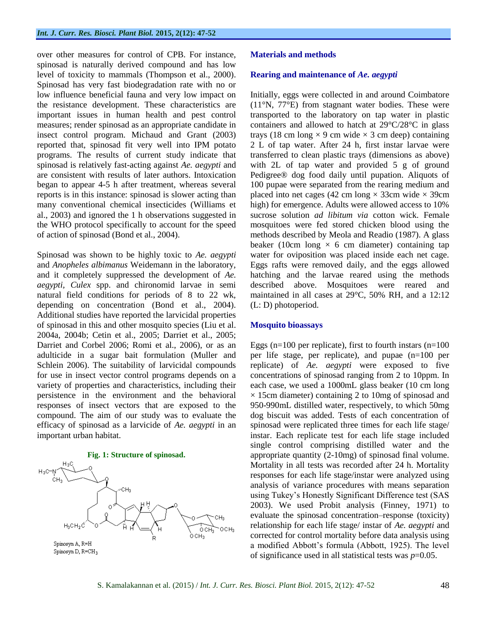over other measures for control of CPB. For instance, spinosad is naturally derived compound and has low level of toxicity to mammals (Thompson et al., 2000). Spinosad has very fast biodegradation rate with no or low influence beneficial fauna and very low impact on the resistance development. These characteristics are important issues in human health and pest control measures; render spinosad as an appropriate candidate in insect control program. Michaud and Grant (2003) reported that, spinosad fit very well into IPM potato programs. The results of current study indicate that spinosad is relatively fast-acting against *Ae. aegypti* and are consistent with results of later authors. Intoxication began to appear 4-5 h after treatment, whereas several reports is in this instance: spinosad is slower acting than many conventional chemical insecticides (Williams et al., 2003) and ignored the 1 h observations suggested in the WHO protocol specifically to account for the speed of action of spinosad (Bond et al., 2004).

Spinosad was shown to be highly toxic to *Ae. aegypti*  and *Anopheles albimanus* Weidemann in the laboratory, and it completely suppressed the development of *Ae. aegypti, Culex* spp. and chironomid larvae in semi natural field conditions for periods of 8 to 22 wk, depending on concentration (Bond et al., 2004). Additional studies have reported the larvicidal properties of spinosad in this and other mosquito species (Liu et al. 2004a, 2004b; Cetin et al., 2005; Darriet et al., 2005; Darriet and Corbel 2006; Romi et al., 2006), or as an adulticide in a sugar bait formulation (Muller and Schlein 2006). The suitability of larvicidal compounds for use in insect vector control programs depends on a variety of properties and characteristics, including their persistence in the environment and the behavioral responses of insect vectors that are exposed to the compound. The aim of our study was to evaluate the efficacy of spinosad as a larvicide of *Ae. aegypti* in an important urban habitat.



#### **Materials and methods**

#### **Rearing and maintenance of** *Ae. aegypti*

Initially, eggs were collected in and around Coimbatore (11°N, 77°E) from stagnant water bodies. These were transported to the laboratory on tap water in plastic containers and allowed to hatch at 29°C/28°C in glass trays (18 cm long  $\times$  9 cm wide  $\times$  3 cm deep) containing 2 L of tap water. After 24 h, first instar larvae were transferred to clean plastic trays (dimensions as above) with 2L of tap water and provided 5 g of ground Pedigree® dog food daily until pupation. Aliquots of 100 pupae were separated from the rearing medium and placed into net cages (42 cm long  $\times$  33cm wide  $\times$  39cm high) for emergence. Adults were allowed access to 10% sucrose solution *ad libitum via* cotton wick. Female mosquitoes were fed stored chicken blood using the methods described by Meola and Readio (1987). A glass beaker (10cm long  $\times$  6 cm diameter) containing tap water for oviposition was placed inside each net cage. Eggs rafts were removed daily, and the eggs allowed hatching and the larvae reared using the methods described above. Mosquitoes were reared and maintained in all cases at 29°C, 50% RH, and a 12:12 (L: D) photoperiod.

#### **Mosquito bioassays**

Eggs ( $n=100$  per replicate), first to fourth instars ( $n=100$ ) per life stage, per replicate), and pupae (n=100 per replicate) of *Ae. aegypti* were exposed to five concentrations of spinosad ranging from 2 to 10ppm. In each case, we used a 1000mL glass beaker (10 cm long  $\times$  15cm diameter) containing 2 to 10mg of spinosad and 950-990mL distilled water, respectively, to which 50mg dog biscuit was added. Tests of each concentration of spinosad were replicated three times for each life stage/ instar. Each replicate test for each life stage included single control comprising distilled water and the appropriate quantity (2-10mg) of spinosad final volume. Mortality in all tests was recorded after 24 h. Mortality responses for each life stage/instar were analyzed using analysis of variance procedures with means separation using Tukey's Honestly Significant Difference test (SAS 2003). We used Probit analysis (Finney, 1971) to evaluate the spinosad concentration–response (toxicity) relationship for each life stage/ instar of *Ae. aegypti* and corrected for control mortality before data analysis using a modified Abbott's formula (Abbott, 1925). The level of significance used in all statistical tests was *p*=0.05.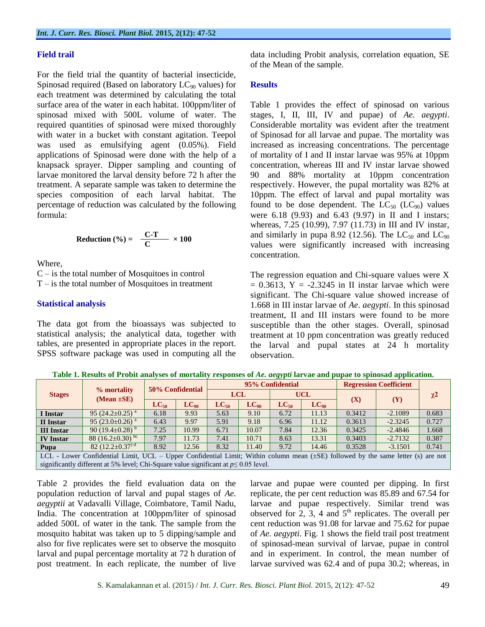#### **Field trail**

For the field trial the quantity of bacterial insecticide, Spinosad required (Based on laboratory  $LC_{90}$  values) for each treatment was determined by calculating the total surface area of the water in each habitat. 100ppm/liter of spinosad mixed with 500L volume of water. The required quantities of spinosad were mixed thoroughly with water in a bucket with constant agitation. Teepol was used as emulsifying agent (0.05%). Field applications of Spinosad were done with the help of a knapsack sprayer. Dipper sampling and counting of larvae monitored the larval density before 72 h after the treatment. A separate sample was taken to determine the species composition of each larval habitat. The percentage of reduction was calculated by the following formula:

$$
Reduction (%) = \frac{C-T}{C} \times 100
$$

Where,

 $C$  – is the total number of Mosquitoes in control  $T -$  is the total number of Mosquitoes in treatment

#### **Statistical analysis**

The data got from the bioassays was subjected to statistical analysis; the analytical data, together with tables, are presented in appropriate places in the report. SPSS software package was used in computing all the

data including Probit analysis, correlation equation, SE of the Mean of the sample.

#### **Results**

Table 1 provides the effect of spinosad on various stages, I, II, III, IV and pupae) of *Ae. aegypti*. Considerable mortality was evident after the treatment of Spinosad for all larvae and pupae. The mortality was increased as increasing concentrations. The percentage of mortality of I and II instar larvae was 95% at 10ppm concentration, whereas III and IV instar larvae showed 90 and 88% mortality at 10ppm concentration respectively. However, the pupal mortality was 82% at 10ppm. The effect of larval and pupal mortality was found to be dose dependent. The  $LC_{50}$  ( $LC_{90}$ ) values were 6.18 (9.93) and 6.43 (9.97) in II and I instars; whereas, 7.25 (10.99), 7.97 (11.73) in III and IV instar, and similarly in pupa 8.92 (12.56). The  $LC_{50}$  and  $LC_{90}$ values were significantly increased with increasing concentration.

The regression equation and Chi-square values were X  $= 0.3613$ , Y =  $-2.3245$  in II instar larvae which were significant. The Chi-square value showed increase of 1.668 in III instar larvae of *Ae. aegypti*. In this spinosad treatment, II and III instars were found to be more susceptible than the other stages. Overall, spinosad treatment at 10 ppm concentration was greatly reduced the larval and pupal states at 24 h mortality observation.

**Table 1. Results of Probit analyses of mortality responses of** *Ae. aegypti* **larvae and pupae to spinosad application.**

| <b>Stages</b>                                                                                                                         |                                   | 50% Confidential |           |            |           | 95% Confidential | <b>Regression Coefficient</b> |        |           |          |
|---------------------------------------------------------------------------------------------------------------------------------------|-----------------------------------|------------------|-----------|------------|-----------|------------------|-------------------------------|--------|-----------|----------|
|                                                                                                                                       | % mortality<br>$(Mean \pm SE)$    |                  |           | <b>LCL</b> |           |                  | <b>UCL</b>                    |        |           | $\chi^2$ |
|                                                                                                                                       |                                   | $LC_{50}$        | $LC_{90}$ | $LC_{50}$  | $LC_{90}$ | $LC_{50}$        | $LC_{90}$                     | (X)    | (Y)       |          |
| I Instar                                                                                                                              | 95 $(24.2 \pm 0.25)^{a}$          | 6.18             | 9.93      | 5.63       | 9.10      | 6.72             | 11.13                         | 0.3412 | $-2.1089$ | 0.683    |
| II Instar                                                                                                                             | 95 $(23.0 \pm 0.26)^{a}$          | 6.43             | 9.97      | 5.91       | 9.18      | 6.96             | 11.12                         | 0.3613 | $-2.3245$ | 0.727    |
| <b>III</b> Instar                                                                                                                     | 90 (19.4 $\pm$ 0.28) <sup>b</sup> | 7.25             | 10.99     | 6.71       | 10.07     | 7.84             | 12.36                         | 0.3425 | $-2.4846$ | 1.668    |
| <b>IV</b> Instar                                                                                                                      | 88 $(16.2 \pm 0.30)$ bc           | 7.97             | 11.73     | 7.41       | 10.71     | 8.63             | 13.31                         | 0.3403 | $-2.7132$ | 0.387    |
| Pupa                                                                                                                                  | 82 $(12.2 \pm 0.37)$ <sup>d</sup> | 8.92             | 12.56     | 8.32       | 11.40     | 9.72             | 14.46                         | 0.3528 | $-3.1501$ | 0.741    |
| LCL - Lower Confidential Limit, UCL – Upper Confidential Limit; Within column mean $(\pm SE)$ followed by the same letter (s) are not |                                   |                  |           |            |           |                  |                               |        |           |          |
| significantly different at 5% level; Chi-Square value significant at $p \le 0.05$ level.                                              |                                   |                  |           |            |           |                  |                               |        |           |          |

Table 2 provides the field evaluation data on the population reduction of larval and pupal stages of *Ae. aegyptii* at Vadavalli Village, Coimbatore, Tamil Nadu, India. The concentration at 100ppm/liter of spinosad added 500L of water in the tank. The sample from the mosquito habitat was taken up to 5 dipping/sample and also for five replicates were set to observe the mosquito larval and pupal percentage mortality at 72 h duration of post treatment. In each replicate, the number of live

larvae and pupae were counted per dipping. In first replicate, the per cent reduction was 85.89 and 67.54 for larvae and pupae respectively. Similar trend was observed for  $2$ ,  $3$ ,  $4$  and  $5<sup>th</sup>$  replicates. The overall per cent reduction was 91.08 for larvae and 75.62 for pupae of *Ae. aegypti*. Fig. 1 shows the field trail post treatment of spinosad-mean survival of larvae, pupae in control and in experiment. In control, the mean number of larvae survived was 62.4 and of pupa 30.2; whereas, in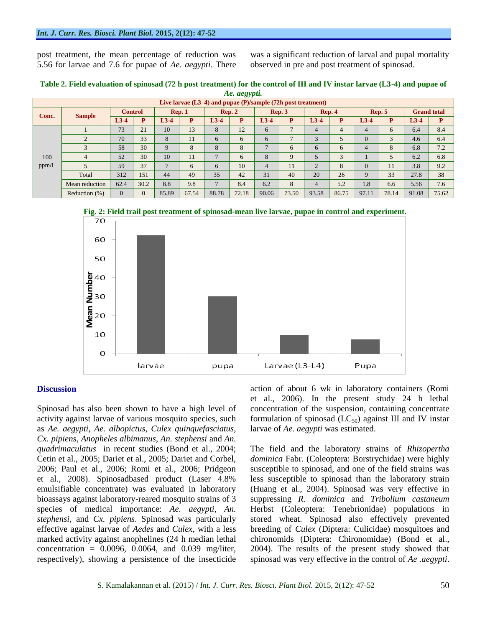post treatment, the mean percentage of reduction was 5.56 for larvae and 7.6 for pupae of *Ae. aegypti*. There was a significant reduction of larval and pupal mortality observed in pre and post treatment of spinosad.

| Table 2. Field evaluation of spinosad (72 h post treatment) for the control of III and IV instar larvae (L3-4) and pupae of |
|-----------------------------------------------------------------------------------------------------------------------------|
| Ae. aegypti.                                                                                                                |

| $A$ c. $uc5$ ypu.<br>Live larvae $(L3-4)$ and pupae $(P)/\text{sample}$ (72h post treatment) |                |                |          |                          |       |                   |       |                  |       |                |                |                  |       |                    |       |
|----------------------------------------------------------------------------------------------|----------------|----------------|----------|--------------------------|-------|-------------------|-------|------------------|-------|----------------|----------------|------------------|-------|--------------------|-------|
| Conc.                                                                                        | <b>Sample</b>  | <b>Control</b> |          | $\mathbf{Rep.} 1$        |       | $\mathbf{Rep.} 2$ |       | $\mathbf{Rep.}3$ |       | Rep. 4         |                | $\mathbf{Rep.}5$ |       | <b>Grand</b> total |       |
|                                                                                              |                | $L3-4$         | P        | $L3-4$                   | P     | $L3-4$            | P     | $L3-4$           | P     | $L3-4$         | P              | $L3-4$           | P     | $L3-4$             | P     |
| 100<br>ppm/L                                                                                 |                | 73             | 21       | 10                       | 13    | 8                 | 12    | 6                |       | 4              | $\overline{4}$ | 4                | 6     | 6.4                | 8.4   |
|                                                                                              | 2              | 70             | 33       | 8                        | 11    | 6                 | 6     | 6                |       | 3              |                | $\Omega$         | 3     | 4.6                | 6.4   |
|                                                                                              | 3              | 58             | 30       | 9                        | 8     | 8                 | 8     | $\mathbf{r}$     | 6     | 6              | 6              | $\overline{4}$   | 8     | 6.8                | 7.2   |
|                                                                                              | 4              | 52             | 30       | 10                       | 11    | $\overline{7}$    | 6     | 8                | 9     | 5              | 3              |                  | 5     | 6.2                | 6.8   |
|                                                                                              |                | 59             | 37       | $\overline{\phantom{0}}$ | 6     | 6                 | 10    | $\overline{4}$   | 11    | $\overline{2}$ | 8              | $\Omega$         | 11    | 3.8                | 9.2   |
|                                                                                              | Total          | 312            | 151      | 44                       | 49    | 35                | 42    | 31               | 40    | 20             | 26             | 9                | 33    | 27.8               | 38    |
|                                                                                              | Mean reduction | 62.4           | 30.2     | 8.8                      | 9.8   | $\tau$            | 8.4   | 6.2              | 8     | $\overline{4}$ | 5.2            | 1.8              | 6.6   | 5.56               | 7.6   |
|                                                                                              | Reduction (%)  | $\Omega$       | $\Omega$ | 85.89                    | 67.54 | 88.78             | 72.18 | 90.06            | 73.50 | 93.58          | 86.75          | 97.11            | 78.14 | 91.08              | 75.62 |





#### **Discussion**

Spinosad has also been shown to have a high level of activity against larvae of various mosquito species, such as *Ae. aegypti*, *Ae. albopictus*, *Culex quinquefasciatus*, *Cx. pipiens*, *Anopheles albimanus*, *An. stephensi* and *An. quadrimaculatus* in recent studies (Bond et al., 2004; Cetin et al., 2005; Dariet et al., 2005; Dariet and Corbel, 2006; Paul et al., 2006; Romi et al., 2006; Pridgeon et al., 2008). Spinosadbased product (Laser 4.8% emulsifiable concentrate) was evaluated in laboratory bioassays against laboratory-reared mosquito strains of 3 species of medical importance: *Ae. aegypti*, *An. stephensi*, and *Cx. pipiens*. Spinosad was particularly effective against larvae of *Aedes* and *Culex*, with a less marked activity against anophelines (24 h median lethal concentration =  $0.0096$ ,  $0.0064$ , and  $0.039$  mg/liter, respectively), showing a persistence of the insecticide

action of about 6 wk in laboratory containers (Romi et al., 2006). In the present study 24 h lethal concentration of the suspension, containing concentrate formulation of spinosad  $(LC_{50})$  against III and IV instar larvae of *Ae. aegypti* was estimated.

The field and the laboratory strains of *Rhizopertha dominica* Fabr. (Coleoptera: Borstrychidae) were highly susceptible to spinosad, and one of the field strains was less susceptible to spinosad than the laboratory strain (Huang et al., 2004). Spinosad was very effective in suppressing *R. dominica* and *Tribolium castaneum*  Herbst (Coleoptera: Tenebrionidae) populations in stored wheat. Spinosad also effectively prevented breeding of *Culex* (Diptera: Culicidae) mosquitoes and chironomids (Diptera: Chironomidae) (Bond et al., 2004). The results of the present study showed that spinosad was very effective in the control of *Ae .aegypti*.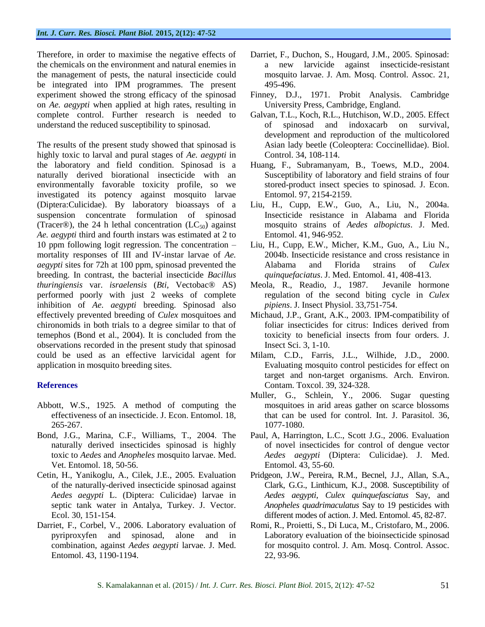Therefore, in order to maximise the negative effects of the chemicals on the environment and natural enemies in the management of pests, the natural insecticide could be integrated into IPM programmes. The present experiment showed the strong efficacy of the spinosad on *Ae. aegypti* when applied at high rates, resulting in complete control. Further research is needed to understand the reduced susceptibility to spinosad.

The results of the present study showed that spinosad is highly toxic to larval and pural stages of *Ae. aegypti* in the laboratory and field condition. Spinosad is a naturally derived biorational insecticide with an environmentally favorable toxicity profile, so we investigated its potency against mosquito larvae (Diptera:Culicidae). By laboratory bioassays of a suspension concentrate formulation of spinosad (Tracer®), the 24 h lethal concentration  $(LC_{50})$  against *Ae. aegypti* third and fourth instars was estimated at 2 to 10 ppm following logit regression. The concentration – mortality responses of III and IV-instar larvae of *Ae. aegypti* sites for 72h at 100 ppm, spinosad prevented the breeding. In contrast, the bacterial insecticide *Bacillus thuringiensis* var. *israelensis* (*Bti*, Vectobac® AS) performed poorly with just 2 weeks of complete inhibition of *Ae. aegypti* breeding. Spinosad also effectively prevented breeding of *Culex* mosquitoes and chironomids in both trials to a degree similar to that of temephos (Bond et al., 2004). It is concluded from the observations recorded in the present study that spinosad could be used as an effective larvicidal agent for application in mosquito breeding sites.

# **References**

- Abbott, W.S., 1925. A method of computing the effectiveness of an insecticide. J. Econ. Entomol. 18, 265-267.
- Bond, J.G., Marina, C.F., Williams, T., 2004. The naturally derived insecticides spinosad is highly toxic to *Aedes* and *Anopheles* mosquito larvae. Med. Vet. Entomol. 18, 50-56.
- Cetin, H., Yanikoglu, A., Cilek, J.E., 2005. Evaluation of the naturally-derived insecticide spinosad against *Aedes aegypti* L. (Diptera: Culicidae) larvae in septic tank water in Antalya, Turkey. J. Vector. Ecol. 30, 151-154.
- Darriet, F., Corbel, V., 2006. Laboratory evaluation of pyriproxyfen and spinosad, alone and in combination, against *Aedes aegypti* larvae. J. Med. Entomol. 43, 1190-1194.
- Darriet, F., Duchon, S., Hougard, J.M., 2005. Spinosad: a new larvicide against insecticide-resistant mosquito larvae. J. Am. Mosq. Control. Assoc. 21, 495-496.
- Finney, D.J., 1971. Probit Analysis. Cambridge University Press, Cambridge, England.
- Galvan, T.L., Koch, R.L., Hutchison, W.D., 2005. Effect of spinosad and indoxacarb on survival, development and reproduction of the multicolored Asian lady beetle (Coleoptera: Coccinellidae). Biol. Control. 34, 108-114.
- Huang, F., Subramanyam, B., Toews, M.D., 2004. Susceptibility of laboratory and field strains of four stored-product insect species to spinosad. J. Econ. Entomol. 97, 2154-2159.
- Liu, H., Cupp, E.W., Guo, A., Liu, N., 2004a. Insecticide resistance in Alabama and Florida mosquito strains of *Aedes albopictus*. J. Med. Entomol. 41, 946-952.
- Liu, H., Cupp, E.W., Micher, K.M., Guo, A., Liu N., 2004b. Insecticide resistance and cross resistance in Alabama and Florida strains of *Culex quinquefaciatus*. J. Med. Entomol. 41, 408-413.
- Meola, R., Readio, J., 1987. Jevanile hormone regulation of the second biting cycle in *Culex pipiens*. J. Insect Physiol. 33,751-754.
- Michaud, J.P., Grant, A.K., 2003. IPM-compatibility of foliar insecticides for citrus: Indices derived from toxicity to beneficial insects from four orders. J. Insect Sci. 3, 1-10.
- Milam, C.D., Farris, J.L., Wilhide, J.D., 2000. Evaluating mosquito control pesticides for effect on target and non-target organisms. Arch. Environ. Contam. Toxcol. 39, 324-328.
- Muller, G., Schlein, Y., 2006. Sugar questing mosquitoes in arid areas gather on scarce blossoms that can be used for control. Int. J. Parasitol. 36, 1077-1080.
- Paul, A, Harrington, L.C., Scott J.G., 2006. Evaluation of novel insecticides for control of dengue vector *Aedes aegypti* (Diptera: Culicidae). J. Med. Entomol. 43, 55-60.
- Pridgeon, J.W., Pereira, R.M., Becnel, J.J., Allan, S.A., Clark, G.G., Linthicum, K.J., 2008. Susceptibility of *Aedes aegypti*, *Culex quinquefasciatus* Say, and *Anopheles quadrimaculatus* Say to 19 pesticides with different modes of action. J. Med. Entomol. 45, 82-87.
- Romi, R., Proietti, S., Di Luca, M., Cristofaro, M., 2006. Laboratory evaluation of the bioinsecticide spinosad for mosquito control. J. Am. Mosq. Control. Assoc. 22, 93-96.